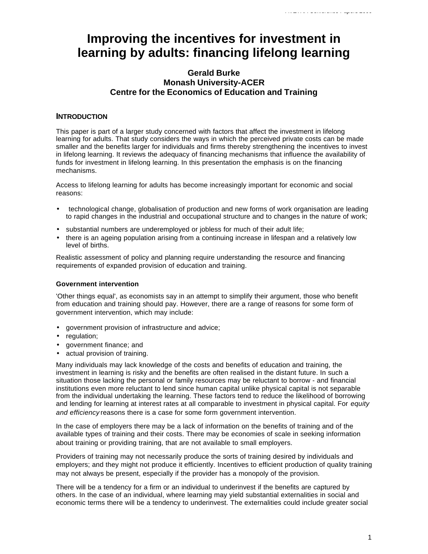# **Improving the incentives for investment in learning by adults: financing lifelong learning**

# **Gerald Burke Monash University-ACER Centre for the Economics of Education and Training**

## **INTRODUCTION**

This paper is part of a larger study concerned with factors that affect the investment in lifelong learning for adults. That study considers the ways in which the perceived private costs can be made smaller and the benefits larger for individuals and firms thereby strengthening the incentives to invest in lifelong learning. It reviews the adequacy of financing mechanisms that influence the availability of funds for investment in lifelong learning. In this presentation the emphasis is on the financing mechanisms.

Access to lifelong learning for adults has become increasingly important for economic and social reasons:

- technological change, globalisation of production and new forms of work organisation are leading to rapid changes in the industrial and occupational structure and to changes in the nature of work;
- substantial numbers are underemployed or jobless for much of their adult life;
- there is an ageing population arising from a continuing increase in lifespan and a relatively low level of births.

Realistic assessment of policy and planning require understanding the resource and financing requirements of expanded provision of education and training.

## **Government intervention**

'Other things equal', as economists say in an attempt to simplify their argument, those who benefit from education and training should pay. However, there are a range of reasons for some form of government intervention, which may include:

- government provision of infrastructure and advice;
- regulation:
- government finance; and
- actual provision of training.

Many individuals may lack knowledge of the costs and benefits of education and training, the investment in learning is risky and the benefits are often realised in the distant future. In such a situation those lacking the personal or family resources may be reluctant to borrow - and financial institutions even more reluctant to lend since human capital unlike physical capital is not separable from the individual undertaking the learning. These factors tend to reduce the likelihood of borrowing and lending for learning at interest rates at all comparable to investment in physical capital. For *equity and efficiency* reasons there is a case for some form government intervention.

In the case of employers there may be a lack of information on the benefits of training and of the available types of training and their costs. There may be economies of scale in seeking information about training or providing training, that are not available to small employers.

Providers of training may not necessarily produce the sorts of training desired by individuals and employers; and they might not produce it efficiently. Incentives to efficient production of quality training may not always be present, especially if the provider has a monopoly of the provision.

There will be a tendency for a firm or an individual to underinvest if the benefits are captured by others. In the case of an individual, where learning may yield substantial externalities in social and economic terms there will be a tendency to underinvest. The externalities could include greater social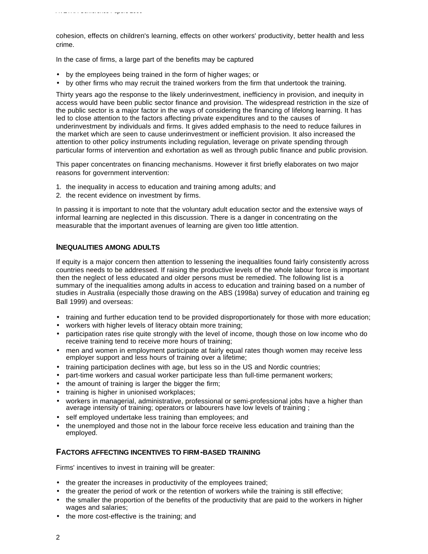cohesion, effects on children's learning, effects on other workers' productivity, better health and less crime.

In the case of firms, a large part of the benefits may be captured

- by the employees being trained in the form of higher wages; or
- by other firms who may recruit the trained workers from the firm that undertook the training.

Thirty years ago the response to the likely underinvestment, inefficiency in provision, and inequity in access would have been public sector finance and provision. The widespread restriction in the size of the public sector is a major factor in the ways of considering the financing of lifelong learning. It has led to close attention to the factors affecting private expenditures and to the causes of underinvestment by individuals and firms. It gives added emphasis to the need to reduce failures in the market which are seen to cause underinvestment or inefficient provision. It also increased the attention to other policy instruments including regulation, leverage on private spending through particular forms of intervention and exhortation as well as through public finance and public provision.

This paper concentrates on financing mechanisms. However it first briefly elaborates on two major reasons for government intervention:

- 1. the inequality in access to education and training among adults; and
- 2. the recent evidence on investment by firms.

In passing it is important to note that the voluntary adult education sector and the extensive ways of informal learning are neglected in this discussion. There is a danger in concentrating on the measurable that the important avenues of learning are given too little attention.

## **INEQUALITIES AMONG ADULTS**

If equity is a major concern then attention to lessening the inequalities found fairly consistently across countries needs to be addressed. If raising the productive levels of the whole labour force is important then the neglect of less educated and older persons must be remedied. The following list is a summary of the inequalities among adults in access to education and training based on a number of studies in Australia (especially those drawing on the ABS (1998a) survey of education and training eg Ball 1999) and overseas:

- training and further education tend to be provided disproportionately for those with more education;
- workers with higher levels of literacy obtain more training;
- participation rates rise quite strongly with the level of income, though those on low income who do receive training tend to receive more hours of training;
- men and women in employment participate at fairly equal rates though women may receive less employer support and less hours of training over a lifetime;
- training participation declines with age, but less so in the US and Nordic countries;
- part-time workers and casual worker participate less than full-time permanent workers;
- the amount of training is larger the bigger the firm;
- training is higher in unionised workplaces;
- workers in managerial, administrative, professional or semi-professional jobs have a higher than average intensity of training; operators or labourers have low levels of training;
- self employed undertake less training than employees; and
- the unemployed and those not in the labour force receive less education and training than the employed.

## **FACTORS AFFECTING INCENTIVES TO FIRM-BASED TRAINING**

Firms' incentives to invest in training will be greater:

- the greater the increases in productivity of the employees trained;
- the greater the period of work or the retention of workers while the training is still effective;
- the smaller the proportion of the benefits of the productivity that are paid to the workers in higher wages and salaries;
- the more cost-effective is the training; and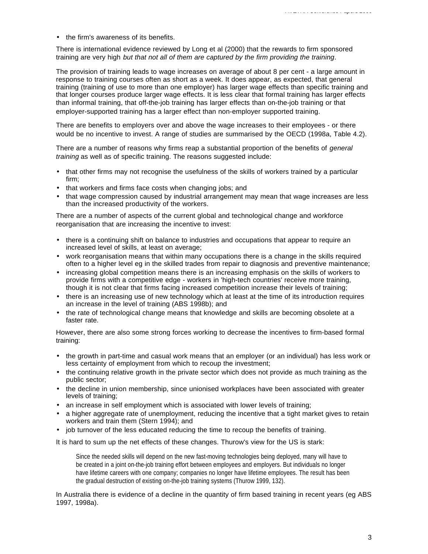• the firm's awareness of its benefits.

There is international evidence reviewed by Long et al (2000) that the rewards to firm sponsored training are very high *but that not all of them are captured by the firm providing the training*.

The provision of training leads to wage increases on average of about 8 per cent - a large amount in response to training courses often as short as a week. It does appear, as expected, that general training (training of use to more than one employer) has larger wage effects than specific training and that longer courses produce larger wage effects. It is less clear that formal training has larger effects than informal training, that off-the-job training has larger effects than on-the-job training or that employer-supported training has a larger effect than non-employer supported training.

There are benefits to employers over and above the wage increases to their employees - or there would be no incentive to invest. A range of studies are summarised by the OECD (1998a, Table 4.2).

There are a number of reasons why firms reap a substantial proportion of the benefits of *general training* as well as of specific training. The reasons suggested include:

- that other firms may not recognise the usefulness of the skills of workers trained by a particular firm;
- that workers and firms face costs when changing jobs; and
- that wage compression caused by industrial arrangement may mean that wage increases are less than the increased productivity of the workers.

There are a number of aspects of the current global and technological change and workforce reorganisation that are increasing the incentive to invest:

- there is a continuing shift on balance to industries and occupations that appear to require an increased level of skills, at least on average;
- work reorganisation means that within many occupations there is a change in the skills required often to a higher level eg in the skilled trades from repair to diagnosis and preventive maintenance;
- increasing global competition means there is an increasing emphasis on the skills of workers to provide firms with a competitive edge - workers in 'high-tech countries' receive more training, though it is not clear that firms facing increased competition increase their levels of training;
- there is an increasing use of new technology which at least at the time of its introduction requires an increase in the level of training (ABS 1998b); and
- the rate of technological change means that knowledge and skills are becoming obsolete at a faster rate.

However, there are also some strong forces working to decrease the incentives to firm-based formal training:

- the growth in part-time and casual work means that an employer (or an individual) has less work or less certainty of employment from which to recoup the investment;
- the continuing relative growth in the private sector which does not provide as much training as the public sector;
- the decline in union membership, since unionised workplaces have been associated with greater levels of training;
- an increase in self employment which is associated with lower levels of training;
- a higher aggregate rate of unemployment, reducing the incentive that a tight market gives to retain workers and train them (Stern 1994); and
- job turnover of the less educated reducing the time to recoup the benefits of training.

It is hard to sum up the net effects of these changes. Thurow's view for the US is stark:

Since the needed skills will depend on the new fast-moving technologies being deployed, many will have to be created in a joint on-the-job training effort between employees and employers. But individuals no longer have lifetime careers with one company; companies no longer have lifetime employees. The result has been the gradual destruction of existing on-the-job training systems (Thurow 1999, 132).

In Australia there is evidence of a decline in the quantity of firm based training in recent years (eg ABS 1997, 1998a).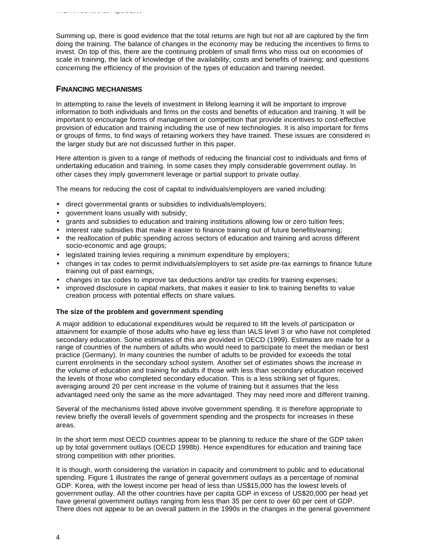Summing up, there is good evidence that the total returns are high but not all are captured by the firm doing the training. The balance of changes in the economy may be reducing the incentives to firms to invest. On top of this, there are the continuing problem of small firms who miss out on economies of scale in training, the lack of knowledge of the availability, costs and benefits of training; and questions concerning the efficiency of the provision of the types of education and training needed.

# **FINANCING MECHANISMS**

*AVETRA Conference Papers 2000*

In attempting to raise the levels of investment in lifelong learning it will be important to improve information to both individuals and firms on the costs and benefits of education and training. It will be important to encourage forms of management or competition that provide incentives to cost-effective provision of education and training including the use of new technologies. It is also important for firms or groups of firms, to find ways of retaining workers they have trained. These issues are considered in the larger study but are not discussed further in this paper.

Here attention is given to a range of methods of reducing the financial cost to individuals and firms of undertaking education and training. In some cases they imply considerable government outlay. In other cases they imply government leverage or partial support to private outlay.

The means for reducing the cost of capital to individuals/employers are varied including:

- direct governmental grants or subsidies to individuals/employers;
- government loans usually with subsidy;
- grants and subsidies to education and training institutions allowing low or zero tuition fees;
- interest rate subsidies that make it easier to finance training out of future benefits/earning;
- the reallocation of public spending across sectors of education and training and across different socio-economic and age groups;
- legislated training levies requiring a minimum expenditure by employers;
- changes in tax codes to permit individuals/employers to set aside pre-tax earnings to finance future training out of past earnings;
- changes in tax codes to improve tax deductions and/or tax credits for training expenses;
- improved disclosure in capital markets, that makes it easier to link to training benefits to value creation process with potential effects on share values.

## **The size of the problem and government spending**

A major addition to educational expenditures would be required to lift the levels of participation or attainment for example of those adults who have eg less than IALS level 3 or who have not completed secondary education. Some estimates of this are provided in OECD (1999). Estimates are made for a range of countries of the numbers of adults who would need to participate to meet the median or best practice (Germany). In many countries the number of adults to be provided for exceeds the total current enrolments in the secondary school system. Another set of estimates shows the increase in the volume of education and training for adults if those with less than secondary education received the levels of those who completed secondary education. This is a less striking set of figures, averaging around 20 per cent increase in the volume of training but it assumes that the less advantaged need only the same as the more advantaged. They may need more and different training.

Several of the mechanisms listed above involve government spending. It is therefore appropriate to review briefly the overall levels of government spending and the prospects for increases in these areas.

In the short term most OECD countries appear to be planning to reduce the share of the GDP taken up by total government outlays (OECD 1998b). Hence expenditures for education and training face strong competition with other priorities.

It is though, worth considering the variation in capacity and commitment to public and to educational spending. Figure 1 illustrates the range of general government outlays as a percentage of nominal GDP. Korea, with the lowest income per head of less than US\$15,000 has the lowest levels of government outlay. All the other countries have per capita GDP in excess of US\$20,000 per head yet have general government outlays ranging from less than 35 per cent to over 60 per cent of GDP. There does not appear to be an overall pattern in the 1990s in the changes in the general government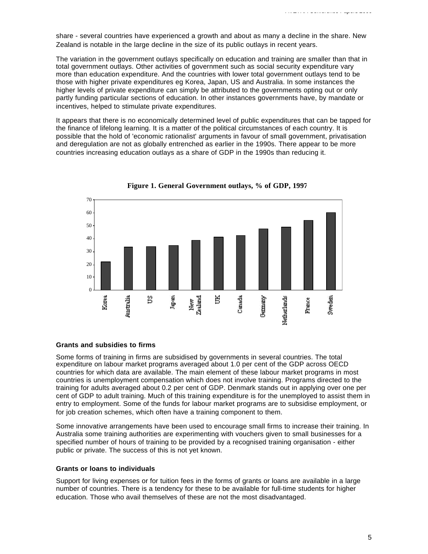share - several countries have experienced a growth and about as many a decline in the share. New Zealand is notable in the large decline in the size of its public outlays in recent years.

The variation in the government outlays specifically on education and training are smaller than that in total government outlays. Other activities of government such as social security expenditure vary more than education expenditure. And the countries with lower total government outlays tend to be those with higher private expenditures eg Korea, Japan, US and Australia. In some instances the higher levels of private expenditure can simply be attributed to the governments opting out or only partly funding particular sections of education. In other instances governments have, by mandate or incentives, helped to stimulate private expenditures.

It appears that there is no economically determined level of public expenditures that can be tapped for the finance of lifelong learning. It is a matter of the political circumstances of each country. It is possible that the hold of 'economic rationalist' arguments in favour of small government, privatisation and deregulation are not as globally entrenched as earlier in the 1990s. There appear to be more countries increasing education outlays as a share of GDP in the 1990s than reducing it.



**Figure 1. General Government outlays, % of GDP, 1997** 

#### **Grants and subsidies to firms**

Some forms of training in firms are subsidised by governments in several countries. The total expenditure on labour market programs averaged about 1.0 per cent of the GDP across OECD countries for which data are available. The main element of these labour market programs in most countries is unemployment compensation which does not involve training. Programs directed to the training for adults averaged about 0.2 per cent of GDP. Denmark stands out in applying over one per cent of GDP to adult training. Much of this training expenditure is for the unemployed to assist them in entry to employment. Some of the funds for labour market programs are to subsidise employment, or for job creation schemes, which often have a training component to them.

Some innovative arrangements have been used to encourage small firms to increase their training. In Australia some training authorities are experimenting with vouchers given to small businesses for a specified number of hours of training to be provided by a recognised training organisation - either public or private. The success of this is not yet known.

#### **Grants or loans to individuals**

Support for living expenses or for tuition fees in the forms of grants or loans are available in a large number of countries. There is a tendency for these to be available for full-time students for higher education. Those who avail themselves of these are not the most disadvantaged.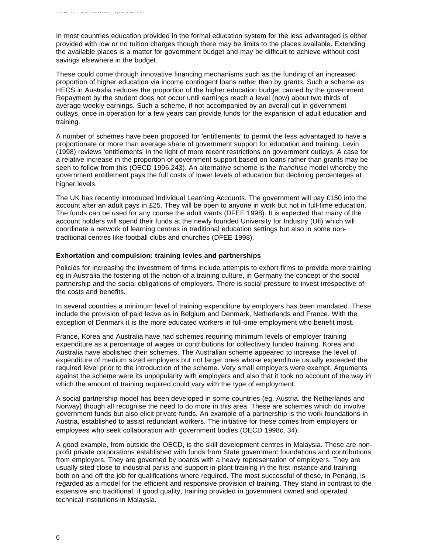In most countries education provided in the formal education system for the less advantaged is either provided with low or no tuition charges though there may be limits to the places available. Extending the available places is a matter for government budget and may be difficult to achieve without cost savings elsewhere in the budget.

These could come through innovative financing mechanisms such as the funding of an increased proportion of higher education via income contingent loans rather than by grants. Such a scheme as HECS in Australia reduces the proportion of the higher education budget carried by the government. Repayment by the student does not occur until earnings reach a level (now) about two thirds of average weekly earnings. Such a scheme, if not accompanied by an overall cut in government outlays, once in operation for a few years can provide funds for the expansion of adult education and training.

A number of schemes have been proposed for 'entitlements' to permit the less advantaged to have a proportionate or more than average share of government support for education and training. Levin (1998) reviews 'entitlements' in the light of more recent restrictions on government outlays. A case for a relative increase in the proportion of government support based on loans rather than grants may be seen to follow from this (OECD 1996,243). An alternative scheme is the *franchise* model whereby the government entitlement pays the full costs of lower levels of education but declining percentages at higher levels.

The UK has recently introduced Individual Learning Accounts. The government will pay £150 into the account after an adult pays in £25. They will be open to anyone in work but not in full-time education. The funds can be used for any course the adult wants (DFEE 1998). It is expected that many of the account holders will spend their funds at the newly founded University for Industry (Ufi) which will coordinate a network of learning centres in traditional education settings but also in some nontraditional centres like football clubs and churches (DFEE 1998).

#### **Exhortation and compulsion: training levies and partnerships**

Policies for increasing the investment of firms include attempts to exhort firms to provide more training eg in Australia the fostering of the notion of a training culture, in Germany the concept of the social partnership and the social obligations of employers. There is social pressure to invest irrespective of the costs and benefits.

In several countries a minimum level of training expenditure by employers has been mandated. These include the provision of paid leave as in Belgium and Denmark, Netherlands and France. With the exception of Denmark it is the more educated workers in full-time employment who benefit most.

France, Korea and Australia have had schemes requiring minimum levels of employer training expenditure as a percentage of wages or contributions for collectively funded training. Korea and Australia have abolished their schemes. The Australian scheme appeared to increase the level of expenditure of medium sized employers but not larger ones whose expenditure usually exceeded the required level prior to the introduction of the scheme. Very small employers were exempt. Arguments against the scheme were its unpopularity with employers and also that it took no account of the way in which the amount of training required could vary with the type of employment.

A social partnership model has been developed in some countries (eg. Austria, the Netherlands and Norway) though all recognise the need to do more in this area. These are schemes which do involve government funds but also elicit private funds. An example of a partnership is the work foundations in Austria, established to assist redundant workers. The initiative for these comes from employers or employees who seek collaboration with government bodies (OECD 1998c, 34).

A good example, from outside the OECD, is the skill development centres in Malaysia. These are nonprofit private corporations established with funds from State government foundations and contributions from employers. They are governed by boards with a heavy representation of employers. They are usually sited close to industrial parks and support in-plant training in the first instance and training both on and off the job for qualifications where required. The most successful of these, in Penang, is regarded as a model for the efficient and responsive provision of training. They stand in contrast to the expensive and traditional, if good quality, training provided in government owned and operated technical institutions in Malaysia.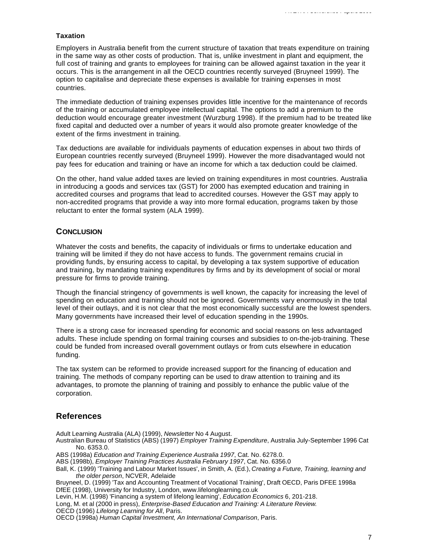#### **Taxation**

Employers in Australia benefit from the current structure of taxation that treats expenditure on training in the same way as other costs of production. That is, unlike investment in plant and equipment, the full cost of training and grants to employees for training can be allowed against taxation in the year it occurs. This is the arrangement in all the OECD countries recently surveyed (Bruyneel 1999). The option to capitalise and depreciate these expenses is available for training expenses in most countries.

The immediate deduction of training expenses provides little incentive for the maintenance of records of the training or accumulated employee intellectual capital. The options to add a premium to the deduction would encourage greater investment (Wurzburg 1998). If the premium had to be treated like fixed capital and deducted over a number of years it would also promote greater knowledge of the extent of the firms investment in training.

Tax deductions are available for individuals payments of education expenses in about two thirds of European countries recently surveyed (Bruyneel 1999). However the more disadvantaged would not pay fees for education and training or have an income for which a tax deduction could be claimed.

On the other, hand value added taxes are levied on training expenditures in most countries. Australia in introducing a goods and services tax (GST) for 2000 has exempted education and training in accredited courses and programs that lead to accredited courses. However the GST may apply to non-accredited programs that provide a way into more formal education, programs taken by those reluctant to enter the formal system (ALA 1999).

## **CONCLUSION**

Whatever the costs and benefits, the capacity of individuals or firms to undertake education and training will be limited if they do not have access to funds. The government remains crucial in providing funds, by ensuring access to capital, by developing a tax system supportive of education and training, by mandating training expenditures by firms and by its development of social or moral pressure for firms to provide training.

Though the financial stringency of governments is well known, the capacity for increasing the level of spending on education and training should not be ignored. Governments vary enormously in the total level of their outlays, and it is not clear that the most economically successful are the lowest spenders. Many governments have increased their level of education spending in the 1990s.

There is a strong case for increased spending for economic and social reasons on less advantaged adults. These include spending on formal training courses and subsidies to on-the-job-training. These could be funded from increased overall government outlays or from cuts elsewhere in education funding.

The tax system can be reformed to provide increased support for the financing of education and training. The methods of company reporting can be used to draw attention to training and its advantages, to promote the planning of training and possibly to enhance the public value of the corporation.

# **References**

Adult Learning Australia (ALA) (1999), *Newsletter* No 4 August.

- Australian Bureau of Statistics (ABS) (1997) *Employer Training Expenditure*, Australia July-September 1996 Cat No. 6353.0.
- ABS (1998a) *Education and Training Experience Australia 1997*, Cat. No. 6278.0.
- ABS (1998b), *Employer Training Practices Australia February 1997*, Cat. No. 6356.0

Ball, K. (1999) 'Training and Labour Market Issues', in Smith, A. (Ed.), *Creating a Future, Training, learning and the older person*, NCVER, Adelaide

Bruyneel, D. (1999) 'Tax and Accounting Treatment of Vocational Training', Draft OECD, Paris DFEE 1998a DfEE (1998), University for Industry, London, www.lifelonglearning.co.uk

Levin, H.M. (1998) 'Financing a system of lifelong learning', *Education Economics* 6, 201-218.

Long, M. et al (2000 in press), *Enterprise-Based Education and Training: A Literature Review*.

OECD (1996) *Lifelong Learning for All*, Paris.

OECD (1998a) *Human Capital Investment, An International Comparison*, Paris.